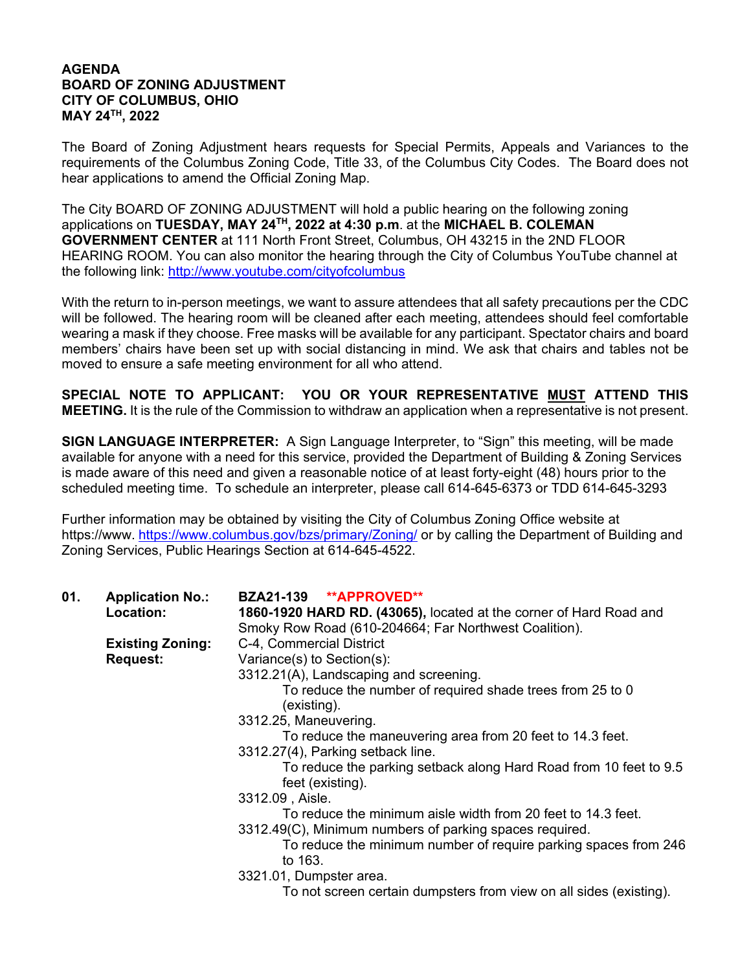## **AGENDA BOARD OF ZONING ADJUSTMENT CITY OF COLUMBUS, OHIO MAY 24TH, 2022**

The Board of Zoning Adjustment hears requests for Special Permits, Appeals and Variances to the requirements of the Columbus Zoning Code, Title 33, of the Columbus City Codes. The Board does not hear applications to amend the Official Zoning Map.

The City BOARD OF ZONING ADJUSTMENT will hold a public hearing on the following zoning applications on **TUESDAY, MAY 24TH, 2022 at 4:30 p.m**. at the **MICHAEL B. COLEMAN GOVERNMENT CENTER** at 111 North Front Street, Columbus, OH 43215 in the 2ND FLOOR HEARING ROOM. You can also monitor the hearing through the City of Columbus YouTube channel at the following link: http://www.youtube.com/cityofcolumbus

With the return to in-person meetings, we want to assure attendees that all safety precautions per the CDC will be followed. The hearing room will be cleaned after each meeting, attendees should feel comfortable wearing a mask if they choose. Free masks will be available for any participant. Spectator chairs and board members' chairs have been set up with social distancing in mind. We ask that chairs and tables not be moved to ensure a safe meeting environment for all who attend.

**SPECIAL NOTE TO APPLICANT: YOU OR YOUR REPRESENTATIVE MUST ATTEND THIS MEETING.** It is the rule of the Commission to withdraw an application when a representative is not present.

**SIGN LANGUAGE INTERPRETER:** A Sign Language Interpreter, to "Sign" this meeting, will be made available for anyone with a need for this service, provided the Department of Building & Zoning Services is made aware of this need and given a reasonable notice of at least forty-eight (48) hours prior to the scheduled meeting time. To schedule an interpreter, please call 614-645-6373 or TDD 614-645-3293

Further information may be obtained by visiting the City of Columbus Zoning Office website at https://www. https://www.columbus.gov/bzs/primary/Zoning/ or by calling the Department of Building and Zoning Services, Public Hearings Section at 614-645-4522.

| 01. | <b>Application No.:</b><br>Location: | BZA21-139 **APPROVED**<br>1860-1920 HARD RD. (43065), located at the corner of Hard Road and<br>Smoky Row Road (610-204664; Far Northwest Coalition). |
|-----|--------------------------------------|-------------------------------------------------------------------------------------------------------------------------------------------------------|
|     | <b>Existing Zoning:</b>              | C-4, Commercial District                                                                                                                              |
|     | <b>Request:</b>                      | Variance(s) to Section(s):                                                                                                                            |
|     |                                      | 3312.21(A), Landscaping and screening.                                                                                                                |
|     |                                      | To reduce the number of required shade trees from 25 to 0<br>(existing).                                                                              |
|     |                                      | 3312.25, Maneuvering.                                                                                                                                 |
|     |                                      | To reduce the maneuvering area from 20 feet to 14.3 feet.                                                                                             |
|     |                                      | 3312.27(4), Parking setback line.                                                                                                                     |
|     |                                      | To reduce the parking setback along Hard Road from 10 feet to 9.5<br>feet (existing).                                                                 |
|     |                                      | 3312.09, Aisle.                                                                                                                                       |
|     |                                      | To reduce the minimum aisle width from 20 feet to 14.3 feet.                                                                                          |
|     |                                      | 3312.49(C), Minimum numbers of parking spaces required.                                                                                               |
|     |                                      | To reduce the minimum number of require parking spaces from 246<br>to 163.                                                                            |
|     |                                      | 3321.01, Dumpster area.                                                                                                                               |
|     |                                      | To not screen certain dumpsters from view on all sides (existing).                                                                                    |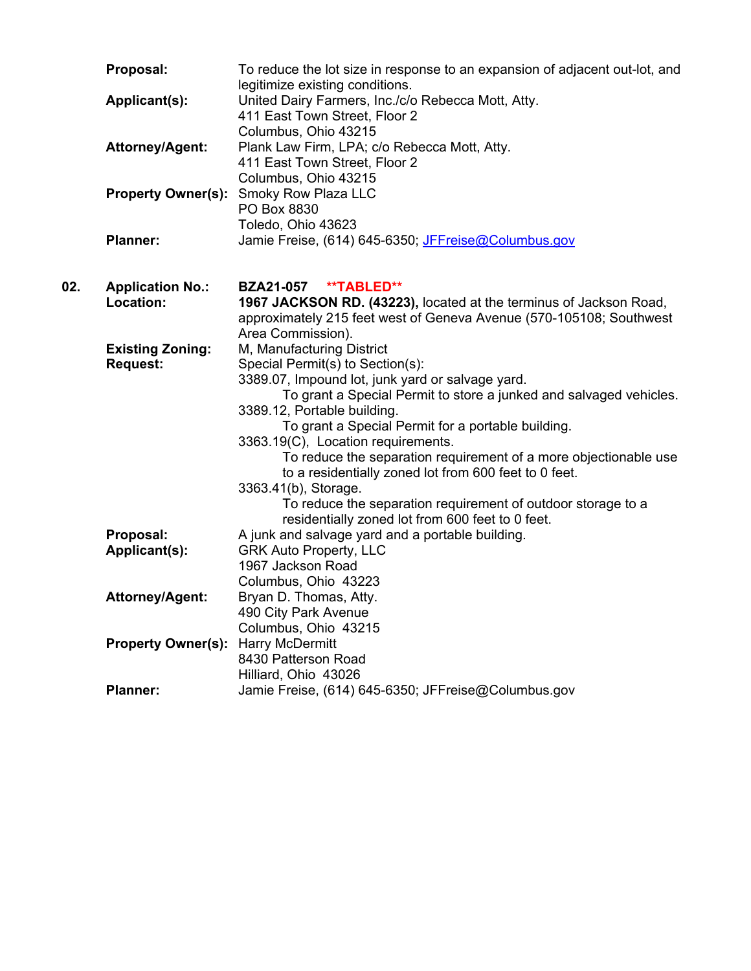|     | Proposal:                                  | To reduce the lot size in response to an expansion of adjacent out-lot, and<br>legitimize existing conditions.                                                                                                                                                                                                                                                                                                                                                                                                                                                                                                   |
|-----|--------------------------------------------|------------------------------------------------------------------------------------------------------------------------------------------------------------------------------------------------------------------------------------------------------------------------------------------------------------------------------------------------------------------------------------------------------------------------------------------------------------------------------------------------------------------------------------------------------------------------------------------------------------------|
|     | Applicant(s):                              | United Dairy Farmers, Inc./c/o Rebecca Mott, Atty.<br>411 East Town Street, Floor 2                                                                                                                                                                                                                                                                                                                                                                                                                                                                                                                              |
|     | <b>Attorney/Agent:</b>                     | Columbus, Ohio 43215<br>Plank Law Firm, LPA; c/o Rebecca Mott, Atty.<br>411 East Town Street, Floor 2<br>Columbus, Ohio 43215                                                                                                                                                                                                                                                                                                                                                                                                                                                                                    |
|     | <b>Property Owner(s):</b>                  | Smoky Row Plaza LLC<br>PO Box 8830<br>Toledo, Ohio 43623                                                                                                                                                                                                                                                                                                                                                                                                                                                                                                                                                         |
|     | <b>Planner:</b>                            | Jamie Freise, (614) 645-6350; JFFreise@Columbus.gov                                                                                                                                                                                                                                                                                                                                                                                                                                                                                                                                                              |
| 02. | <b>Application No.:</b><br>Location:       | **TABLED**<br><b>BZA21-057</b><br>1967 JACKSON RD. (43223), located at the terminus of Jackson Road,<br>approximately 215 feet west of Geneva Avenue (570-105108; Southwest                                                                                                                                                                                                                                                                                                                                                                                                                                      |
|     | <b>Existing Zoning:</b><br><b>Request:</b> | Area Commission).<br>M, Manufacturing District<br>Special Permit(s) to Section(s):<br>3389.07, Impound lot, junk yard or salvage yard.<br>To grant a Special Permit to store a junked and salvaged vehicles.<br>3389.12, Portable building.<br>To grant a Special Permit for a portable building.<br>3363.19(C), Location requirements.<br>To reduce the separation requirement of a more objectionable use<br>to a residentially zoned lot from 600 feet to 0 feet.<br>3363.41(b), Storage.<br>To reduce the separation requirement of outdoor storage to a<br>residentially zoned lot from 600 feet to 0 feet. |
|     | Proposal:<br>Applicant(s):                 | A junk and salvage yard and a portable building.<br><b>GRK Auto Property, LLC</b>                                                                                                                                                                                                                                                                                                                                                                                                                                                                                                                                |
|     | <b>Attorney/Agent:</b>                     | 1967 Jackson Road<br>Columbus, Ohio 43223<br>Bryan D. Thomas, Atty.<br>490 City Park Avenue                                                                                                                                                                                                                                                                                                                                                                                                                                                                                                                      |
|     | <b>Property Owner(s):</b>                  | Columbus, Ohio 43215<br><b>Harry McDermitt</b><br>8430 Patterson Road                                                                                                                                                                                                                                                                                                                                                                                                                                                                                                                                            |
|     | <b>Planner:</b>                            | Hilliard, Ohio 43026<br>Jamie Freise, (614) 645-6350; JFFreise@Columbus.gov                                                                                                                                                                                                                                                                                                                                                                                                                                                                                                                                      |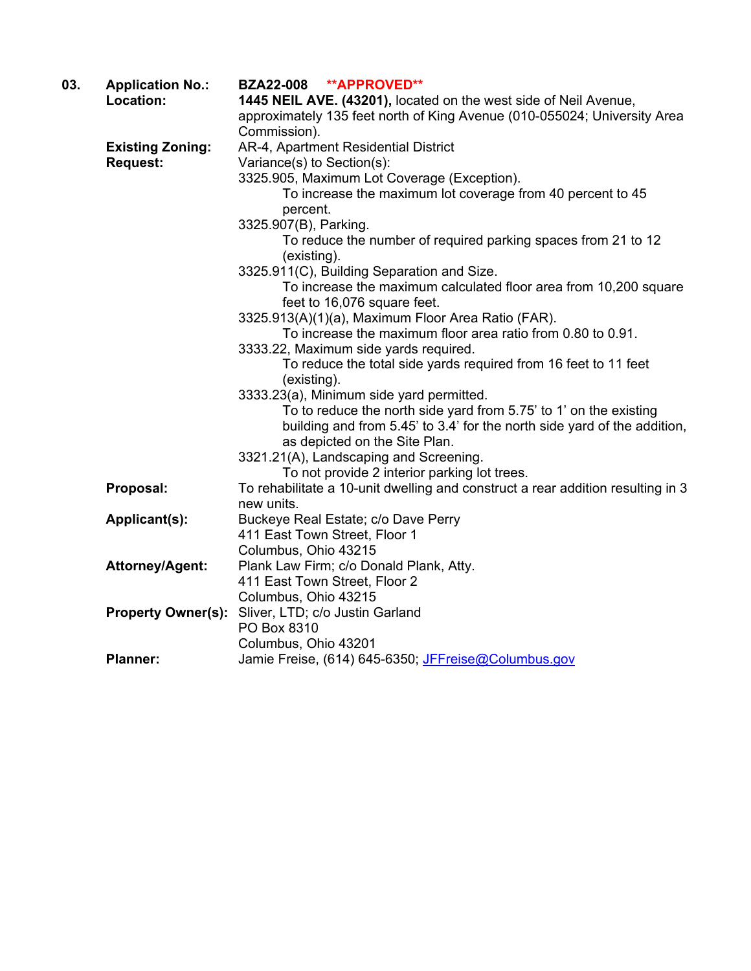| 03. | <b>Application No.:</b>   | <b>**APPROVED**</b><br><b>BZA22-008</b>                                         |
|-----|---------------------------|---------------------------------------------------------------------------------|
|     | Location:                 | 1445 NEIL AVE. (43201), located on the west side of Neil Avenue,                |
|     |                           | approximately 135 feet north of King Avenue (010-055024; University Area        |
|     |                           | Commission).                                                                    |
|     | <b>Existing Zoning:</b>   | AR-4, Apartment Residential District                                            |
|     | <b>Request:</b>           | Variance(s) to Section(s):                                                      |
|     |                           | 3325.905, Maximum Lot Coverage (Exception).                                     |
|     |                           | To increase the maximum lot coverage from 40 percent to 45                      |
|     |                           | percent.                                                                        |
|     |                           | 3325.907(B), Parking.                                                           |
|     |                           | To reduce the number of required parking spaces from 21 to 12                   |
|     |                           | (existing).                                                                     |
|     |                           | 3325.911(C), Building Separation and Size.                                      |
|     |                           | To increase the maximum calculated floor area from 10,200 square                |
|     |                           | feet to 16,076 square feet.                                                     |
|     |                           | 3325.913(A)(1)(a), Maximum Floor Area Ratio (FAR).                              |
|     |                           | To increase the maximum floor area ratio from 0.80 to 0.91.                     |
|     |                           | 3333.22, Maximum side yards required.                                           |
|     |                           | To reduce the total side yards required from 16 feet to 11 feet                 |
|     |                           | (existing).                                                                     |
|     |                           | 3333.23(a), Minimum side yard permitted.                                        |
|     |                           | To to reduce the north side yard from 5.75' to 1' on the existing               |
|     |                           | building and from 5.45' to 3.4' for the north side yard of the addition,        |
|     |                           | as depicted on the Site Plan.                                                   |
|     |                           | 3321.21(A), Landscaping and Screening.                                          |
|     |                           | To not provide 2 interior parking lot trees.                                    |
|     | Proposal:                 | To rehabilitate a 10-unit dwelling and construct a rear addition resulting in 3 |
|     |                           | new units.                                                                      |
|     | Applicant(s):             | Buckeye Real Estate; c/o Dave Perry                                             |
|     |                           | 411 East Town Street, Floor 1                                                   |
|     |                           | Columbus, Ohio 43215                                                            |
|     | <b>Attorney/Agent:</b>    | Plank Law Firm; c/o Donald Plank, Atty.                                         |
|     |                           | 411 East Town Street, Floor 2                                                   |
|     |                           | Columbus, Ohio 43215                                                            |
|     | <b>Property Owner(s):</b> | Sliver, LTD; c/o Justin Garland                                                 |
|     |                           | PO Box 8310                                                                     |
|     |                           | Columbus, Ohio 43201                                                            |
|     | <b>Planner:</b>           | Jamie Freise, (614) 645-6350; JFFreise@Columbus.gov                             |
|     |                           |                                                                                 |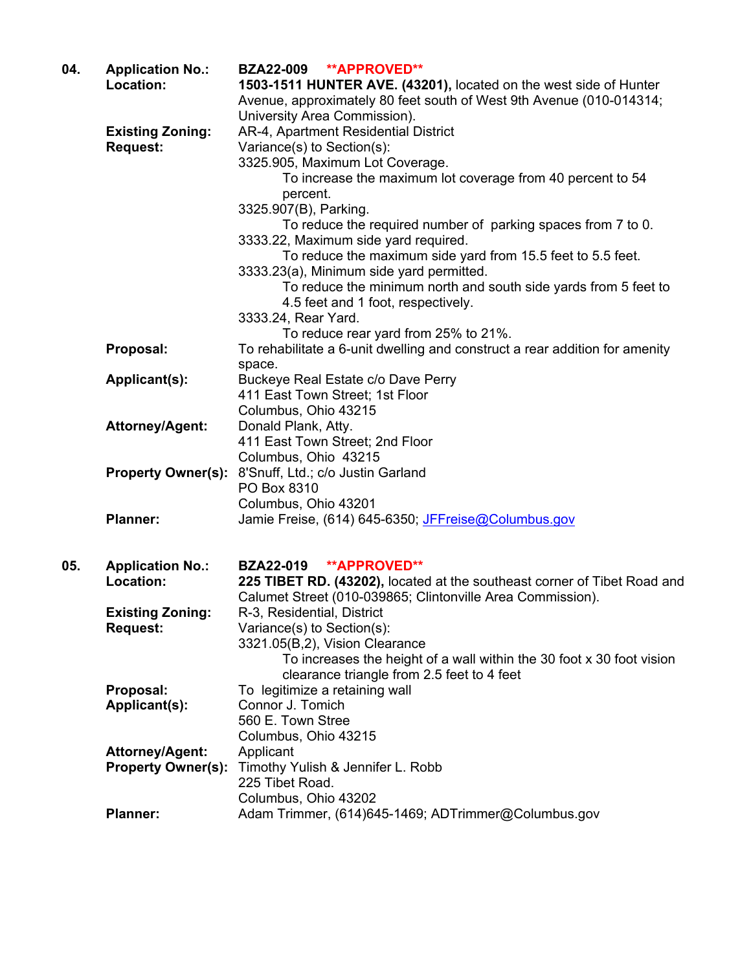| 04. | <b>Application No.:</b><br>Location:       | BZA22-009 **APPROVED**<br>1503-1511 HUNTER AVE. (43201), located on the west side of Hunter<br>Avenue, approximately 80 feet south of West 9th Avenue (010-014314;<br>University Area Commission). |
|-----|--------------------------------------------|----------------------------------------------------------------------------------------------------------------------------------------------------------------------------------------------------|
|     | <b>Existing Zoning:</b><br><b>Request:</b> | AR-4, Apartment Residential District<br>Variance(s) to Section(s):<br>3325.905, Maximum Lot Coverage.                                                                                              |
|     |                                            | To increase the maximum lot coverage from 40 percent to 54<br>percent.                                                                                                                             |
|     |                                            | 3325.907(B), Parking.                                                                                                                                                                              |
|     |                                            | To reduce the required number of parking spaces from 7 to 0.<br>3333.22, Maximum side yard required.                                                                                               |
|     |                                            | To reduce the maximum side yard from 15.5 feet to 5.5 feet.                                                                                                                                        |
|     |                                            | 3333.23(a), Minimum side yard permitted.<br>To reduce the minimum north and south side yards from 5 feet to<br>4.5 feet and 1 foot, respectively.                                                  |
|     |                                            | 3333.24, Rear Yard.                                                                                                                                                                                |
|     |                                            | To reduce rear yard from 25% to 21%.                                                                                                                                                               |
|     | Proposal:                                  | To rehabilitate a 6-unit dwelling and construct a rear addition for amenity<br>space.                                                                                                              |
|     | Applicant(s):                              | Buckeye Real Estate c/o Dave Perry                                                                                                                                                                 |
|     |                                            | 411 East Town Street; 1st Floor<br>Columbus, Ohio 43215                                                                                                                                            |
|     | <b>Attorney/Agent:</b>                     | Donald Plank, Atty.                                                                                                                                                                                |
|     |                                            | 411 East Town Street; 2nd Floor                                                                                                                                                                    |
|     |                                            | Columbus, Ohio 43215                                                                                                                                                                               |
|     | <b>Property Owner(s):</b>                  | 8'Snuff, Ltd.; c/o Justin Garland                                                                                                                                                                  |
|     |                                            | PO Box 8310                                                                                                                                                                                        |
|     |                                            | Columbus, Ohio 43201                                                                                                                                                                               |
|     | <b>Planner:</b>                            | Jamie Freise, (614) 645-6350; JFFreise@Columbus.gov                                                                                                                                                |
| 05. | <b>Application No.:</b>                    | <b>**APPROVED**</b><br><b>BZA22-019</b>                                                                                                                                                            |
|     | Location:                                  | 225 TIBET RD. (43202), located at the southeast corner of Tibet Road and                                                                                                                           |
|     | <b>Existing Zoning:</b>                    | Calumet Street (010-039865; Clintonville Area Commission).<br>R-3, Residential, District                                                                                                           |
|     | <b>Request:</b>                            | Variance(s) to Section(s):                                                                                                                                                                         |
|     |                                            | 3321.05(B,2), Vision Clearance                                                                                                                                                                     |
|     |                                            | To increases the height of a wall within the 30 foot x 30 foot vision<br>clearance triangle from 2.5 feet to 4 feet                                                                                |
|     | Proposal:                                  | To legitimize a retaining wall                                                                                                                                                                     |
|     | Applicant(s):                              | Connor J. Tomich                                                                                                                                                                                   |
|     |                                            | 560 E. Town Stree                                                                                                                                                                                  |
|     |                                            | Columbus, Ohio 43215                                                                                                                                                                               |
|     | <b>Attorney/Agent:</b>                     | Applicant                                                                                                                                                                                          |
|     | <b>Property Owner(s):</b>                  | Timothy Yulish & Jennifer L. Robb<br>225 Tibet Road.                                                                                                                                               |
|     |                                            | Columbus, Ohio 43202                                                                                                                                                                               |
|     | <b>Planner:</b>                            | Adam Trimmer, (614)645-1469; ADTrimmer@Columbus.gov                                                                                                                                                |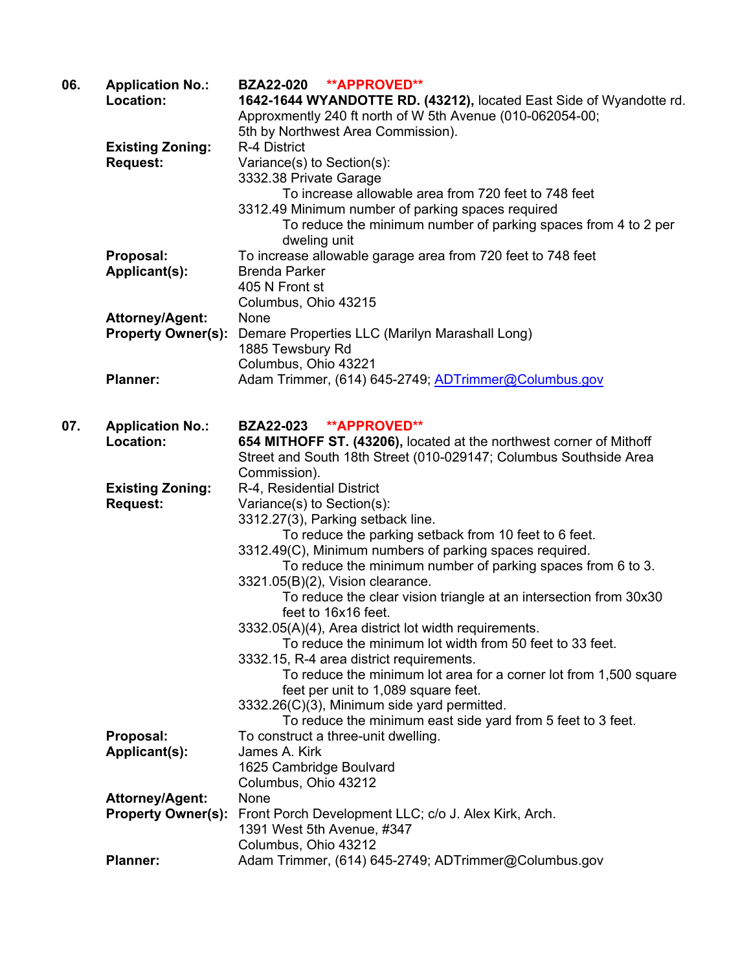| 06. | <b>Application No.:</b><br>Location: | BZA22-020 **APPROVED**<br>1642-1644 WYANDOTTE RD. (43212), located East Side of Wyandotte rd.                    |
|-----|--------------------------------------|------------------------------------------------------------------------------------------------------------------|
|     |                                      | Approxmently 240 ft north of W 5th Avenue (010-062054-00;                                                        |
|     |                                      | 5th by Northwest Area Commission).                                                                               |
|     | <b>Existing Zoning:</b>              | R-4 District                                                                                                     |
|     | <b>Request:</b>                      | Variance(s) to Section(s):                                                                                       |
|     |                                      | 3332.38 Private Garage<br>To increase allowable area from 720 feet to 748 feet                                   |
|     |                                      | 3312.49 Minimum number of parking spaces required                                                                |
|     |                                      | To reduce the minimum number of parking spaces from 4 to 2 per                                                   |
|     |                                      | dweling unit                                                                                                     |
|     | Proposal:                            | To increase allowable garage area from 720 feet to 748 feet                                                      |
|     | Applicant(s):                        | <b>Brenda Parker</b>                                                                                             |
|     |                                      | 405 N Front st                                                                                                   |
|     |                                      | Columbus, Ohio 43215                                                                                             |
|     | Attorney/Agent:                      | None                                                                                                             |
|     | <b>Property Owner(s):</b>            | Demare Properties LLC (Marilyn Marashall Long)                                                                   |
|     |                                      | 1885 Tewsbury Rd                                                                                                 |
|     |                                      | Columbus, Ohio 43221                                                                                             |
|     | <b>Planner:</b>                      | Adam Trimmer, (614) 645-2749; ADTrimmer@Columbus.gov                                                             |
| 07. | <b>Application No.:</b>              | <b>BZA22-023</b><br><b>**APPROVED**</b>                                                                          |
|     | Location:                            | 654 MITHOFF ST. (43206), located at the northwest corner of Mithoff                                              |
|     |                                      | Street and South 18th Street (010-029147; Columbus Southside Area                                                |
|     |                                      | Commission).                                                                                                     |
|     | <b>Existing Zoning:</b>              | R-4, Residential District                                                                                        |
|     | <b>Request:</b>                      | Variance(s) to Section(s):                                                                                       |
|     |                                      | 3312.27(3), Parking setback line.                                                                                |
|     |                                      | To reduce the parking setback from 10 feet to 6 feet.                                                            |
|     |                                      | 3312.49(C), Minimum numbers of parking spaces required.                                                          |
|     |                                      | To reduce the minimum number of parking spaces from 6 to 3.                                                      |
|     |                                      | 3321.05(B)(2), Vision clearance.                                                                                 |
|     |                                      | To reduce the clear vision triangle at an intersection from 30x30                                                |
|     |                                      | feet to 16x16 feet.                                                                                              |
|     |                                      | 3332.05(A)(4), Area district lot width requirements.<br>To reduce the minimum lot width from 50 feet to 33 feet. |
|     |                                      | 3332.15, R-4 area district requirements.                                                                         |
|     |                                      | To reduce the minimum lot area for a corner lot from 1,500 square                                                |
|     |                                      | feet per unit to 1,089 square feet.                                                                              |
|     |                                      | 3332.26(C)(3), Minimum side yard permitted.                                                                      |
|     |                                      | To reduce the minimum east side yard from 5 feet to 3 feet.                                                      |
|     | Proposal:                            | To construct a three-unit dwelling.                                                                              |
|     | Applicant(s):                        | James A. Kirk                                                                                                    |
|     |                                      | 1625 Cambridge Boulvard                                                                                          |
|     |                                      | Columbus, Ohio 43212                                                                                             |
|     | <b>Attorney/Agent:</b>               | None                                                                                                             |
|     | <b>Property Owner(s):</b>            | Front Porch Development LLC; c/o J. Alex Kirk, Arch.                                                             |
|     |                                      | 1391 West 5th Avenue, #347                                                                                       |
|     |                                      | Columbus, Ohio 43212                                                                                             |
|     | <b>Planner:</b>                      | Adam Trimmer, (614) 645-2749; ADTrimmer@Columbus.gov                                                             |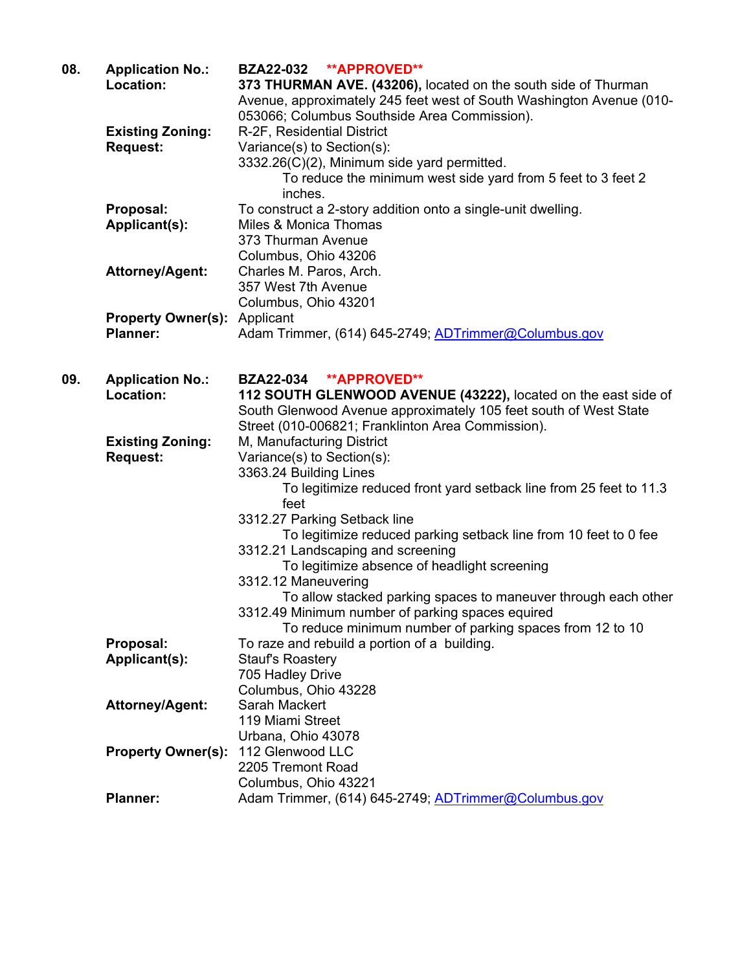| 08. | <b>Application No.:</b>   | BZA22-032 **APPROVED**                                               |
|-----|---------------------------|----------------------------------------------------------------------|
|     | Location:                 | 373 THURMAN AVE. (43206), located on the south side of Thurman       |
|     |                           | Avenue, approximately 245 feet west of South Washington Avenue (010- |
|     |                           | 053066; Columbus Southside Area Commission).                         |
|     | <b>Existing Zoning:</b>   | R-2F, Residential District                                           |
|     | <b>Request:</b>           | Variance(s) to Section(s):                                           |
|     |                           | 3332.26(C)(2), Minimum side yard permitted.                          |
|     |                           | To reduce the minimum west side yard from 5 feet to 3 feet 2         |
|     |                           | inches.                                                              |
|     | Proposal:                 | To construct a 2-story addition onto a single-unit dwelling.         |
|     | Applicant(s):             | Miles & Monica Thomas                                                |
|     |                           | 373 Thurman Avenue                                                   |
|     |                           | Columbus, Ohio 43206                                                 |
|     | <b>Attorney/Agent:</b>    | Charles M. Paros, Arch.                                              |
|     |                           | 357 West 7th Avenue                                                  |
|     |                           | Columbus, Ohio 43201                                                 |
|     | <b>Property Owner(s):</b> | Applicant                                                            |
|     | <b>Planner:</b>           | Adam Trimmer, (614) 645-2749; ADTrimmer@Columbus.gov                 |
|     |                           |                                                                      |
|     |                           |                                                                      |
| 09. | <b>Application No.:</b>   | BZA22-034 **APPROVED**                                               |
|     | Location:                 | 112 SOUTH GLENWOOD AVENUE (43222), located on the east side of       |
|     |                           | South Glenwood Avenue approximately 105 feet south of West State     |
|     |                           | Street (010-006821; Franklinton Area Commission).                    |
|     | <b>Existing Zoning:</b>   | M, Manufacturing District                                            |
|     | <b>Request:</b>           | Variance(s) to Section(s):                                           |
|     |                           | 3363.24 Building Lines                                               |
|     |                           | To legitimize reduced front yard setback line from 25 feet to 11.3   |
|     |                           | feet                                                                 |
|     |                           | 3312.27 Parking Setback line                                         |
|     |                           | To legitimize reduced parking setback line from 10 feet to 0 fee     |
|     |                           | 3312.21 Landscaping and screening                                    |
|     |                           | To legitimize absence of headlight screening                         |
|     |                           | 3312.12 Maneuvering                                                  |
|     |                           | To allow stacked parking spaces to maneuver through each other       |
|     |                           | 3312.49 Minimum number of parking spaces equired                     |
|     |                           | To reduce minimum number of parking spaces from 12 to 10             |
|     | Proposal:                 | To raze and rebuild a portion of a building.                         |
|     | Applicant(s):             | <b>Stauf's Roastery</b>                                              |
|     |                           | 705 Hadley Drive                                                     |
|     |                           | Columbus, Ohio 43228                                                 |
|     | Attorney/Agent:           | Sarah Mackert                                                        |
|     |                           | 119 Miami Street                                                     |
|     |                           | Urbana, Ohio 43078                                                   |
|     | <b>Property Owner(s):</b> | 112 Glenwood LLC                                                     |
|     |                           | 2205 Tremont Road                                                    |
|     |                           | Columbus, Ohio 43221                                                 |
|     | <b>Planner:</b>           | Adam Trimmer, (614) 645-2749; ADTrimmer@Columbus.gov                 |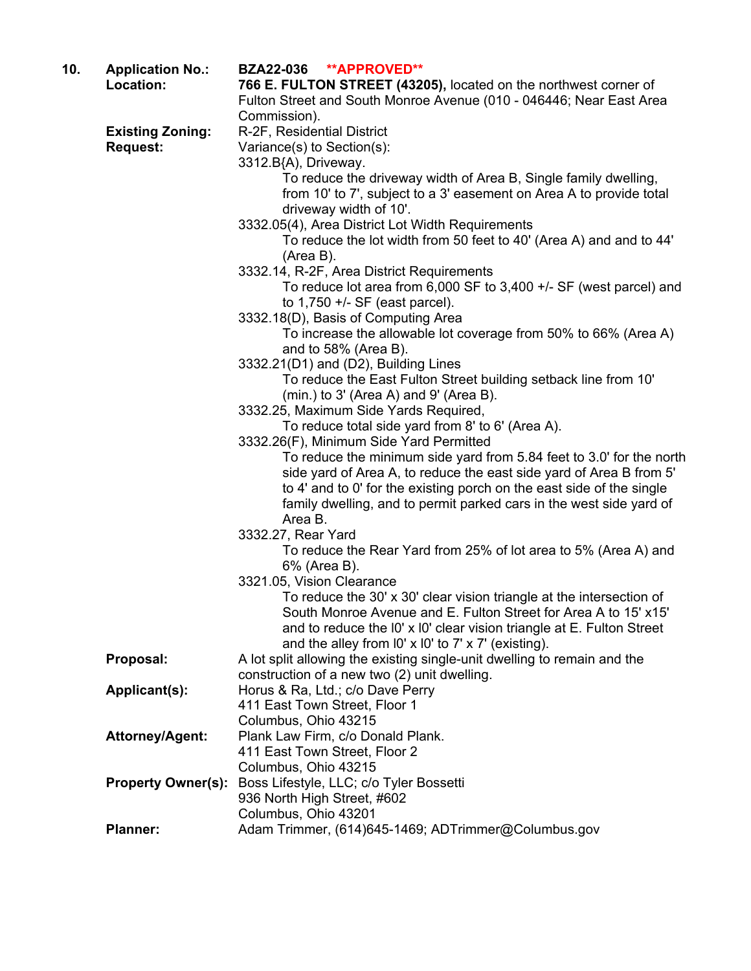| 10. | <b>Application No.:</b><br>Location: | <b>BZA22-036</b><br><b>**APPROVED**</b><br>766 E. FULTON STREET (43205), located on the northwest corner of                                  |
|-----|--------------------------------------|----------------------------------------------------------------------------------------------------------------------------------------------|
|     |                                      | Fulton Street and South Monroe Avenue (010 - 046446; Near East Area                                                                          |
|     |                                      | Commission).                                                                                                                                 |
|     | <b>Existing Zoning:</b>              | R-2F, Residential District                                                                                                                   |
|     | <b>Request:</b>                      | Variance(s) to Section(s):                                                                                                                   |
|     |                                      | 3312.B{A), Driveway.                                                                                                                         |
|     |                                      | To reduce the driveway width of Area B, Single family dwelling,<br>from 10' to 7', subject to a 3' easement on Area A to provide total       |
|     |                                      | driveway width of 10'.                                                                                                                       |
|     |                                      | 3332.05(4), Area District Lot Width Requirements                                                                                             |
|     |                                      | To reduce the lot width from 50 feet to 40' (Area A) and and to 44'                                                                          |
|     |                                      | (Area B).                                                                                                                                    |
|     |                                      | 3332.14, R-2F, Area District Requirements                                                                                                    |
|     |                                      | To reduce lot area from $6,000$ SF to $3,400$ +/- SF (west parcel) and                                                                       |
|     |                                      | to $1,750 +/-$ SF (east parcel).                                                                                                             |
|     |                                      | 3332.18(D), Basis of Computing Area                                                                                                          |
|     |                                      | To increase the allowable lot coverage from 50% to 66% (Area A)                                                                              |
|     |                                      | and to 58% (Area B).<br>3332.21(D1) and (D2), Building Lines                                                                                 |
|     |                                      | To reduce the East Fulton Street building setback line from 10'                                                                              |
|     |                                      | $(min.)$ to 3' (Area A) and 9' (Area B).                                                                                                     |
|     |                                      | 3332.25, Maximum Side Yards Required,                                                                                                        |
|     |                                      | To reduce total side yard from 8' to 6' (Area A).                                                                                            |
|     |                                      | 3332.26(F), Minimum Side Yard Permitted                                                                                                      |
|     |                                      | To reduce the minimum side yard from 5.84 feet to 3.0' for the north                                                                         |
|     |                                      | side yard of Area A, to reduce the east side yard of Area B from 5'<br>to 4' and to 0' for the existing porch on the east side of the single |
|     |                                      | family dwelling, and to permit parked cars in the west side yard of                                                                          |
|     |                                      | Area B.                                                                                                                                      |
|     |                                      | 3332.27, Rear Yard                                                                                                                           |
|     |                                      | To reduce the Rear Yard from 25% of lot area to 5% (Area A) and                                                                              |
|     |                                      | 6% (Area B).                                                                                                                                 |
|     |                                      | 3321.05, Vision Clearance                                                                                                                    |
|     |                                      | To reduce the 30' x 30' clear vision triangle at the intersection of                                                                         |
|     |                                      | South Monroe Avenue and E. Fulton Street for Area A to 15' x15'                                                                              |
|     |                                      | and to reduce the I0' x I0' clear vision triangle at E. Fulton Street<br>and the alley from $10' \times 10'$ to $7' \times 7'$ (existing).   |
|     | Proposal:                            | A lot split allowing the existing single-unit dwelling to remain and the                                                                     |
|     |                                      | construction of a new two (2) unit dwelling.                                                                                                 |
|     | <b>Applicant(s):</b>                 | Horus & Ra, Ltd.; c/o Dave Perry                                                                                                             |
|     |                                      | 411 East Town Street, Floor 1                                                                                                                |
|     |                                      | Columbus, Ohio 43215                                                                                                                         |
|     | <b>Attorney/Agent:</b>               | Plank Law Firm, c/o Donald Plank.                                                                                                            |
|     |                                      | 411 East Town Street, Floor 2<br>Columbus, Ohio 43215                                                                                        |
|     | <b>Property Owner(s):</b>            | Boss Lifestyle, LLC; c/o Tyler Bossetti                                                                                                      |
|     |                                      | 936 North High Street, #602                                                                                                                  |
|     |                                      | Columbus, Ohio 43201                                                                                                                         |
|     | <b>Planner:</b>                      | Adam Trimmer, (614)645-1469; ADTrimmer@Columbus.gov                                                                                          |
|     |                                      |                                                                                                                                              |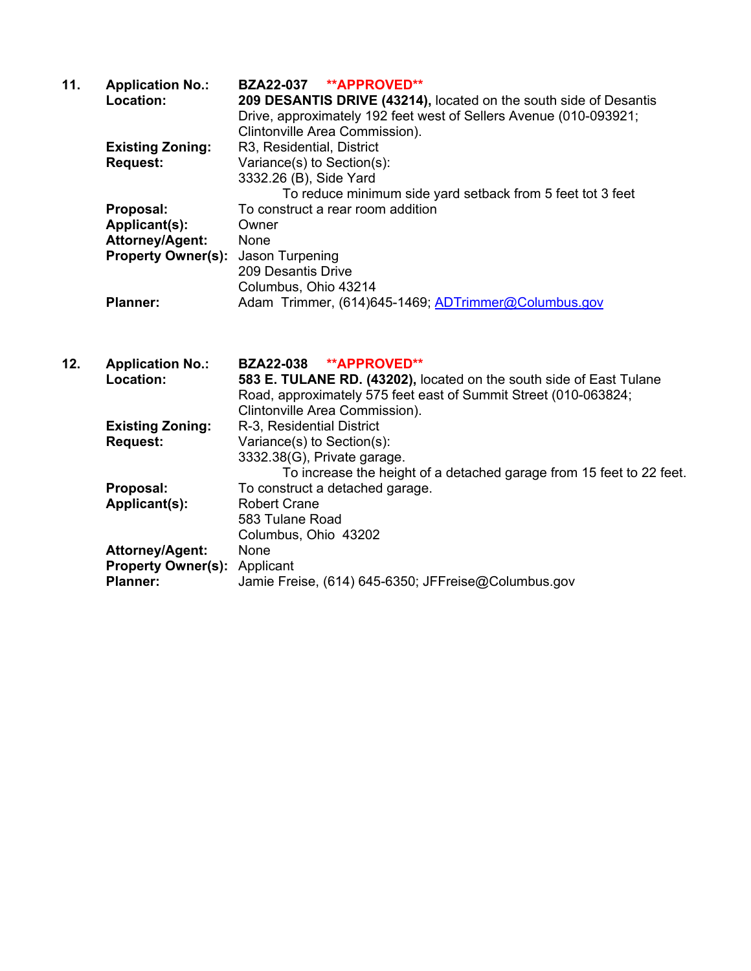| 11. | <b>Application No.:</b>   | BZA22-037 **APPROVED**                                            |
|-----|---------------------------|-------------------------------------------------------------------|
|     | Location:                 | 209 DESANTIS DRIVE (43214), located on the south side of Desantis |
|     |                           | Drive, approximately 192 feet west of Sellers Avenue (010-093921; |
|     |                           | Clintonville Area Commission).                                    |
|     | <b>Existing Zoning:</b>   | R3, Residential, District                                         |
|     | <b>Request:</b>           | Variance(s) to Section(s):                                        |
|     |                           | 3332.26 (B), Side Yard                                            |
|     |                           | To reduce minimum side yard setback from 5 feet tot 3 feet        |
|     | Proposal:                 | To construct a rear room addition                                 |
|     | Applicant(s):             | Owner                                                             |
|     | Attorney/Agent:           | None                                                              |
|     | <b>Property Owner(s):</b> | Jason Turpening                                                   |
|     |                           | 209 Desantis Drive                                                |
|     |                           | Columbus, Ohio 43214                                              |
|     | <b>Planner:</b>           | Adam Trimmer, (614)645-1469; ADTrimmer@Columbus.gov               |
|     |                           |                                                                   |

**12. Application No.: BZA22-038 \*\*APPROVED\*\*** 583 E. TULANE RD. (43202), located on the south side of East Tulane Road, approximately 575 feet east of Summit Street (010-063824; Clintonville Area Commission). **Existing Zoning:** R-3, Residential District **Request:** Variance(s) to Section(s): 3332.38(G), Private garage. To increase the height of a detached garage from 15 feet to 22 feet. **Proposal:** To construct a detached garage. Applicant(s): Robert Crane 583 Tulane Road Columbus, Ohio 43202 **Attorney/Agent:** None **Property Owner(s):** Applicant<br>**Planner:** Jamie Fre Jamie Freise, (614) 645-6350; JFFreise@Columbus.gov